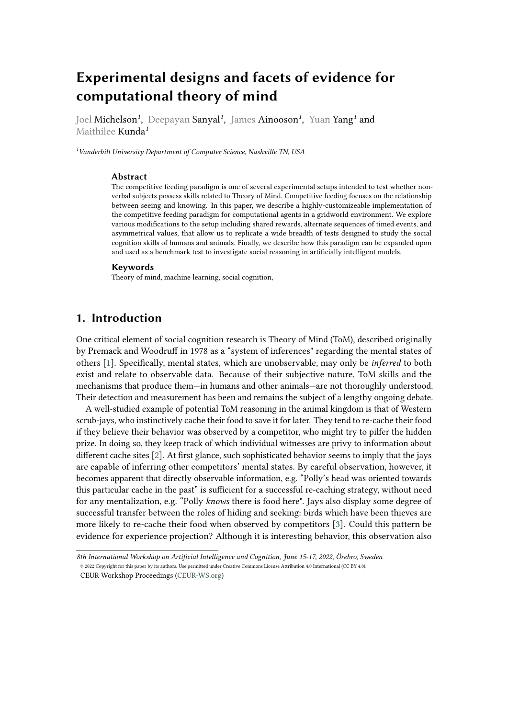# **Experimental designs and facets of evidence for computational theory of mind**

Joel Michelson*<sup>1</sup>* , Deepayan Sanyal*<sup>1</sup>* , James Ainooson*<sup>1</sup>* , Yuan Yang*<sup>1</sup>* and Maithilee Kunda*<sup>1</sup>*

*<sup>1</sup>Vanderbilt University Department of Computer Science, Nashville TN, USA*

#### **Abstract**

The competitive feeding paradigm is one of several experimental setups intended to test whether nonverbal subjects possess skills related to Theory of Mind. Competitive feeding focuses on the relationship between seeing and knowing. In this paper, we describe a highly-customizeable implementation of the competitive feeding paradigm for computational agents in a gridworld environment. We explore various modifications to the setup including shared rewards, alternate sequences of timed events, and asymmetrical values, that allow us to replicate a wide breadth of tests designed to study the social cognition skills of humans and animals. Finally, we describe how this paradigm can be expanded upon and used as a benchmark test to investigate social reasoning in artificially intelligent models.

#### **Keywords**

Theory of mind, machine learning, social cognition,

## <span id="page-0-0"></span>**1. Introduction**

One critical element of social cognition research is Theory of Mind (ToM), described originally by Premack and Woodruff in 1978 as a "system of inferences" regarding the mental states of others [\[1\]](#page-10-0). Specifically, mental states, which are unobservable, may only be *inferred* to both exist and relate to observable data. Because of their subjective nature, ToM skills and the mechanisms that produce them—in humans and other animals—are not thoroughly understood. Their detection and measurement has been and remains the subject of a lengthy ongoing debate.

A well-studied example of potential ToM reasoning in the animal kingdom is that of Western scrub-jays, who instinctively cache their food to save it for later. They tend to re-cache their food if they believe their behavior was observed by a competitor, who might try to pilfer the hidden prize. In doing so, they keep track of which individual witnesses are privy to information about different cache sites [\[2\]](#page-11-0). At first glance, such sophisticated behavior seems to imply that the jays are capable of inferring other competitors' mental states. By careful observation, however, it becomes apparent that directly observable information, e.g. "Polly's head was oriented towards this particular cache in the past" is sufficient for a successful re-caching strategy, without need for any mentalization, e.g. "Polly *knows* there is food here". Jays also display some degree of successful transfer between the roles of hiding and seeking: birds which have been thieves are more likely to re-cache their food when observed by competitors [\[3\]](#page-11-1). Could this pattern be evidence for experience projection? Although it is interesting behavior, this observation also

*[<sup>8</sup>](https://creativecommons.org/licenses/by/4.0)th International Workshop on Artificial Intelligence and Cognition, June 15-17, 2022, Örebro, Sweden* © 2022 Copyright for this paper by its authors. Use permitted under Creative Commons License Attribution 4.0 International (CC BY 4.0).

CEUR Workshop Proceedings [\(CEUR-WS.org\)](http://ceur-ws.org)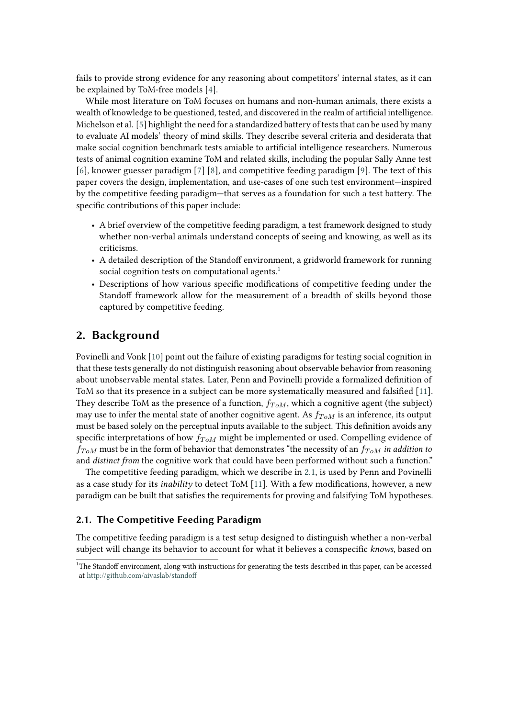fails to provide strong evidence for any reasoning about competitors' internal states, as it can be explained by ToM-free models [\[4\]](#page-11-2).

While most literature on ToM focuses on humans and non-human animals, there exists a wealth of knowledge to be questioned, tested, and discovered in the realm of artificial intelligence. Michelson et al. [\[5\]](#page-11-3) highlight the need for a standardized battery of tests that can be used by many to evaluate AI models' theory of mind skills. They describe several criteria and desiderata that make social cognition benchmark tests amiable to artificial intelligence researchers. Numerous tests of animal cognition examine ToM and related skills, including the popular Sally Anne test [\[6\]](#page-11-4), knower guesser paradigm [\[7\]](#page-11-5) [\[8\]](#page-11-6), and competitive feeding paradigm [\[9\]](#page-11-7). The text of this paper covers the design, implementation, and use-cases of one such test environment—inspired by the competitive feeding paradigm—that serves as a foundation for such a test battery. The specific contributions of this paper include:

- A brief overview of the competitive feeding paradigm, a test framework designed to study whether non-verbal animals understand concepts of seeing and knowing, as well as its criticisms.
- A detailed description of the Standoff environment, a gridworld framework for running social cognition tests on computational agents.<sup>[1](#page-1-0)</sup>
- Descriptions of how various specific modifications of competitive feeding under the Standoff framework allow for the measurement of a breadth of skills beyond those captured by competitive feeding.

## **2. Background**

Povinelli and Vonk [\[10\]](#page-11-8) point out the failure of existing paradigms for testing social cognition in that these tests generally do not distinguish reasoning about observable behavior from reasoning about unobservable mental states. Later, Penn and Povinelli provide a formalized definition of ToM so that its presence in a subject can be more systematically measured and falsified [\[11\]](#page-11-9). They describe ToM as the presence of a function,  $f_{ToM}$ , which a cognitive agent (the subject) may use to infer the mental state of another cognitive agent. As  $f_{ToM}$  is an inference, its output must be based solely on the perceptual inputs available to the subject. This definition avoids any specific interpretations of how  $f_{ToM}$  might be implemented or used. Compelling evidence of  $f_{ToM}$  must be in the form of behavior that demonstrates "the necessity of an  $f_{ToM}$  in addition to and *distinct from* the cognitive work that could have been performed without such a function."

The competitive feeding paradigm, which we describe in [2.1,](#page-1-1) is used by Penn and Povinelli as a case study for its *inability* to detect ToM [\[11\]](#page-11-9). With a few modifications, however, a new paradigm can be built that satisfies the requirements for proving and falsifying ToM hypotheses.

#### <span id="page-1-1"></span>**2.1. The Competitive Feeding Paradigm**

The competitive feeding paradigm is a test setup designed to distinguish whether a non-verbal subject will change its behavior to account for what it believes a conspecific *knows*, based on

<span id="page-1-0"></span><sup>&</sup>lt;sup>1</sup>The Standoff environment, along with instructions for generating the tests described in this paper, can be accessed at <http://github.com/aivaslab/standoff>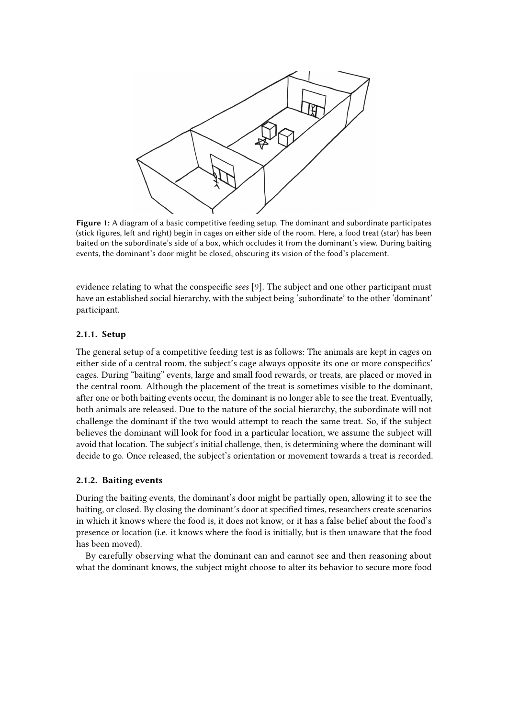

**Figure 1:** A diagram of a basic competitive feeding setup. The dominant and subordinate participates (stick figures, left and right) begin in cages on either side of the room. Here, a food treat (star) has been baited on the subordinate's side of a box, which occludes it from the dominant's view. During baiting events, the dominant's door might be closed, obscuring its vision of the food's placement.

evidence relating to what the conspecific *sees* [\[9\]](#page-11-7). The subject and one other participant must have an established social hierarchy, with the subject being 'subordinate' to the other 'dominant' participant.

#### **2.1.1. Setup**

The general setup of a competitive feeding test is as follows: The animals are kept in cages on either side of a central room, the subject's cage always opposite its one or more conspecifics' cages. During "baiting" events, large and small food rewards, or treats, are placed or moved in the central room. Although the placement of the treat is sometimes visible to the dominant, after one or both baiting events occur, the dominant is no longer able to see the treat. Eventually, both animals are released. Due to the nature of the social hierarchy, the subordinate will not challenge the dominant if the two would attempt to reach the same treat. So, if the subject believes the dominant will look for food in a particular location, we assume the subject will avoid that location. The subject's initial challenge, then, is determining where the dominant will decide to go. Once released, the subject's orientation or movement towards a treat is recorded.

#### **2.1.2. Baiting events**

During the baiting events, the dominant's door might be partially open, allowing it to see the baiting, or closed. By closing the dominant's door at specified times, researchers create scenarios in which it knows where the food is, it does not know, or it has a false belief about the food's presence or location (i.e. it knows where the food is initially, but is then unaware that the food has been moved).

By carefully observing what the dominant can and cannot see and then reasoning about what the dominant knows, the subject might choose to alter its behavior to secure more food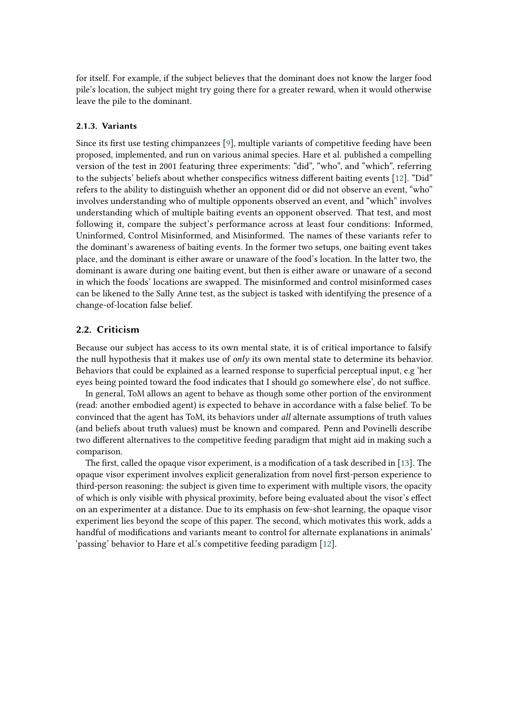for itself. For example, if the subject believes that the dominant does not know the larger food pile's location, the subject might try going there for a greater reward, when it would otherwise leave the pile to the dominant.

#### **2.1.3. Variants**

Since its first use testing chimpanzees [\[9\]](#page-11-7), multiple variants of competitive feeding have been proposed, implemented, and run on various animal species. Hare et al. published a compelling version of the test in 2001 featuring three experiments: "did", "who", and "which", referring to the subjects' beliefs about whether conspecifics witness different baiting events [\[12\]](#page-11-10). "Did" refers to the ability to distinguish whether an opponent did or did not observe an event, "who" involves understanding who of multiple opponents observed an event, and "which" involves understanding which of multiple baiting events an opponent observed. That test, and most following it, compare the subject's performance across at least four conditions: Informed, Uninformed, Control Misinformed, and Misinformed. The names of these variants refer to the dominant's awareness of baiting events. In the former two setups, one baiting event takes place, and the dominant is either aware or unaware of the food's location. In the latter two, the dominant is aware during one baiting event, but then is either aware or unaware of a second in which the foods' locations are swapped. The misinformed and control misinformed cases can be likened to the Sally Anne test, as the subject is tasked with identifying the presence of a change-of-location false belief.

#### <span id="page-3-0"></span>**2.2. Criticism**

Because our subject has access to its own mental state, it is of critical importance to falsify the null hypothesis that it makes use of *only* its own mental state to determine its behavior. Behaviors that could be explained as a learned response to superficial perceptual input, e.g 'her eyes being pointed toward the food indicates that I should go somewhere else', do not suffice.

In general, ToM allows an agent to behave as though some other portion of the environment (read: another embodied agent) is expected to behave in accordance with a false belief. To be convinced that the agent has ToM, its behaviors under *all* alternate assumptions of truth values (and beliefs about truth values) must be known and compared. Penn and Povinelli describe two different alternatives to the competitive feeding paradigm that might aid in making such a comparison.

The first, called the opaque visor experiment, is a modification of a task described in [\[13\]](#page-11-11). The opaque visor experiment involves explicit generalization from novel first-person experience to third-person reasoning: the subject is given time to experiment with multiple visors, the opacity of which is only visible with physical proximity, before being evaluated about the visor's effect on an experimenter at a distance. Due to its emphasis on few-shot learning, the opaque visor experiment lies beyond the scope of this paper. The second, which motivates this work, adds a handful of modifications and variants meant to control for alternate explanations in animals' 'passing' behavior to Hare et al.'s competitive feeding paradigm [\[12\]](#page-11-10).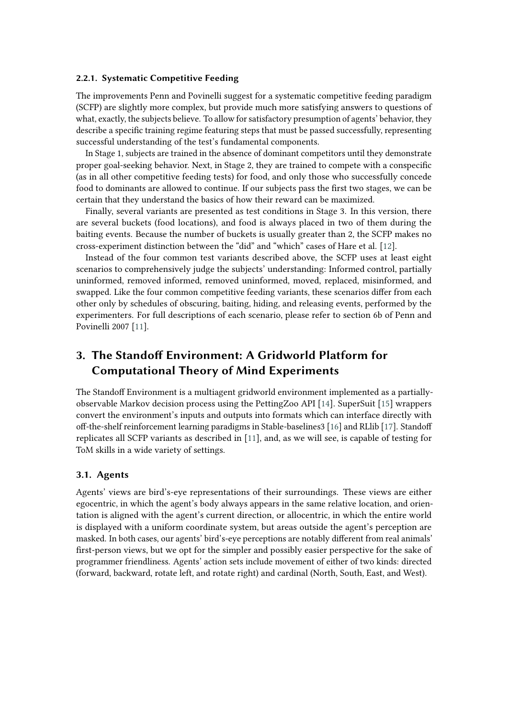#### **2.2.1. Systematic Competitive Feeding**

The improvements Penn and Povinelli suggest for a systematic competitive feeding paradigm (SCFP) are slightly more complex, but provide much more satisfying answers to questions of what, exactly, the subjects believe. To allow for satisfactory presumption of agents' behavior, they describe a specific training regime featuring steps that must be passed successfully, representing successful understanding of the test's fundamental components.

In Stage 1, subjects are trained in the absence of dominant competitors until they demonstrate proper goal-seeking behavior. Next, in Stage 2, they are trained to compete with a conspecific (as in all other competitive feeding tests) for food, and only those who successfully concede food to dominants are allowed to continue. If our subjects pass the first two stages, we can be certain that they understand the basics of how their reward can be maximized.

Finally, several variants are presented as test conditions in Stage 3. In this version, there are several buckets (food locations), and food is always placed in two of them during the baiting events. Because the number of buckets is usually greater than 2, the SCFP makes no cross-experiment distinction between the "did" and "which" cases of Hare et al. [\[12\]](#page-11-10).

Instead of the four common test variants described above, the SCFP uses at least eight scenarios to comprehensively judge the subjects' understanding: Informed control, partially uninformed, removed informed, removed uninformed, moved, replaced, misinformed, and swapped. Like the four common competitive feeding variants, these scenarios differ from each other only by schedules of obscuring, baiting, hiding, and releasing events, performed by the experimenters. For full descriptions of each scenario, please refer to section 6b of Penn and Povinelli 2007 [\[11\]](#page-11-9).

## **3. The Standoff Environment: A Gridworld Platform for Computational Theory of Mind Experiments**

The Standoff Environment is a multiagent gridworld environment implemented as a partiallyobservable Markov decision process using the PettingZoo API [\[14\]](#page-11-12). SuperSuit [\[15\]](#page-11-13) wrappers convert the environment's inputs and outputs into formats which can interface directly with off-the-shelf reinforcement learning paradigms in Stable-baselines3 [\[16\]](#page-11-14) and RLlib [\[17\]](#page-11-15). Standoff replicates all SCFP variants as described in [\[11\]](#page-11-9), and, as we will see, is capable of testing for ToM skills in a wide variety of settings.

#### **3.1. Agents**

Agents' views are bird's-eye representations of their surroundings. These views are either egocentric, in which the agent's body always appears in the same relative location, and orientation is aligned with the agent's current direction, or allocentric, in which the entire world is displayed with a uniform coordinate system, but areas outside the agent's perception are masked. In both cases, our agents' bird's-eye perceptions are notably different from real animals' first-person views, but we opt for the simpler and possibly easier perspective for the sake of programmer friendliness. Agents' action sets include movement of either of two kinds: directed (forward, backward, rotate left, and rotate right) and cardinal (North, South, East, and West).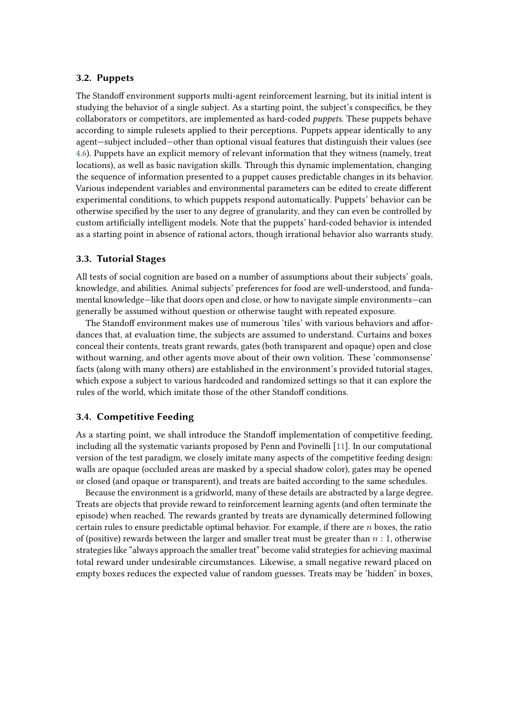#### **3.2. Puppets**

The Standoff environment supports multi-agent reinforcement learning, but its initial intent is studying the behavior of a single subject. As a starting point, the subject's conspecifics, be they collaborators or competitors, are implemented as hard-coded *puppets*. These puppets behave according to simple rulesets applied to their perceptions. Puppets appear identically to any agent—subject included—other than optional visual features that distinguish their values (see [4.6\)](#page-8-0). Puppets have an explicit memory of relevant information that they witness (namely, treat locations), as well as basic navigation skills. Through this dynamic implementation, changing the sequence of information presented to a puppet causes predictable changes in its behavior. Various independent variables and environmental parameters can be edited to create different experimental conditions, to which puppets respond automatically. Puppets' behavior can be otherwise specified by the user to any degree of granularity, and they can even be controlled by custom artificially intelligent models. Note that the puppets' hard-coded behavior is intended as a starting point in absence of rational actors, though irrational behavior also warrants study.

#### **3.3. Tutorial Stages**

All tests of social cognition are based on a number of assumptions about their subjects' goals, knowledge, and abilities. Animal subjects' preferences for food are well-understood, and fundamental knowledge—like that doors open and close, or how to navigate simple environments—can generally be assumed without question or otherwise taught with repeated exposure.

The Standoff environment makes use of numerous 'tiles' with various behaviors and affordances that, at evaluation time, the subjects are assumed to understand. Curtains and boxes conceal their contents, treats grant rewards, gates (both transparent and opaque) open and close without warning, and other agents move about of their own volition. These 'commonsense' facts (along with many others) are established in the environment's provided tutorial stages, which expose a subject to various hardcoded and randomized settings so that it can explore the rules of the world, which imitate those of the other Standoff conditions.

#### **3.4. Competitive Feeding**

As a starting point, we shall introduce the Standoff implementation of competitive feeding, including all the systematic variants proposed by Penn and Povinelli [\[11\]](#page-11-9). In our computational version of the test paradigm, we closely imitate many aspects of the competitive feeding design: walls are opaque (occluded areas are masked by a special shadow color), gates may be opened or closed (and opaque or transparent), and treats are baited according to the same schedules.

Because the environment is a gridworld, many of these details are abstracted by a large degree. Treats are objects that provide reward to reinforcement learning agents (and often terminate the episode) when reached. The rewards granted by treats are dynamically determined following certain rules to ensure predictable optimal behavior. For example, if there are  $n$  boxes, the ratio of (positive) rewards between the larger and smaller treat must be greater than  $n:1$ , otherwise strategies like "always approach the smaller treat" become valid strategies for achieving maximal total reward under undesirable circumstances. Likewise, a small negative reward placed on empty boxes reduces the expected value of random guesses. Treats may be 'hidden' in boxes,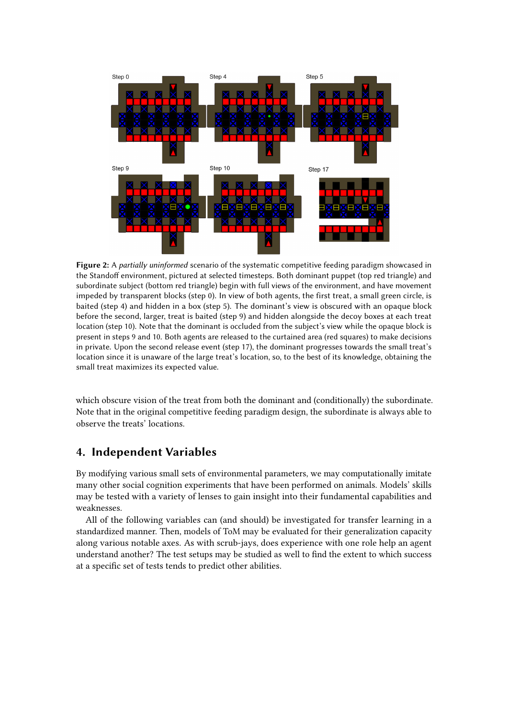

**Figure 2:** A *partially uninformed* scenario of the systematic competitive feeding paradigm showcased in the Standoff environment, pictured at selected timesteps. Both dominant puppet (top red triangle) and subordinate subject (bottom red triangle) begin with full views of the environment, and have movement impeded by transparent blocks (step 0). In view of both agents, the first treat, a small green circle, is baited (step 4) and hidden in a box (step 5). The dominant's view is obscured with an opaque block before the second, larger, treat is baited (step 9) and hidden alongside the decoy boxes at each treat location (step 10). Note that the dominant is occluded from the subject's view while the opaque block is present in steps 9 and 10. Both agents are released to the curtained area (red squares) to make decisions in private. Upon the second release event (step 17), the dominant progresses towards the small treat's location since it is unaware of the large treat's location, so, to the best of its knowledge, obtaining the small treat maximizes its expected value.

which obscure vision of the treat from both the dominant and (conditionally) the subordinate. Note that in the original competitive feeding paradigm design, the subordinate is always able to observe the treats' locations.

## **4. Independent Variables**

By modifying various small sets of environmental parameters, we may computationally imitate many other social cognition experiments that have been performed on animals. Models' skills may be tested with a variety of lenses to gain insight into their fundamental capabilities and weaknesses.

All of the following variables can (and should) be investigated for transfer learning in a standardized manner. Then, models of ToM may be evaluated for their generalization capacity along various notable axes. As with scrub-jays, does experience with one role help an agent understand another? The test setups may be studied as well to find the extent to which success at a specific set of tests tends to predict other abilities.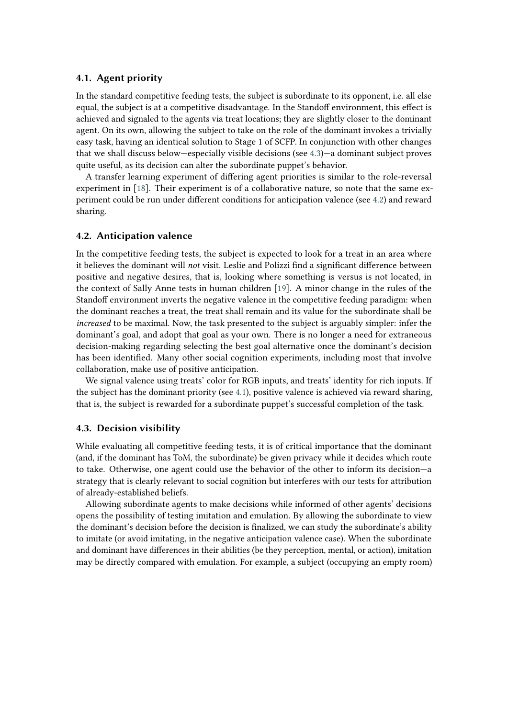#### <span id="page-7-2"></span>**4.1. Agent priority**

In the standard competitive feeding tests, the subject is subordinate to its opponent, i.e. all else equal, the subject is at a competitive disadvantage. In the Standoff environment, this effect is achieved and signaled to the agents via treat locations; they are slightly closer to the dominant agent. On its own, allowing the subject to take on the role of the dominant invokes a trivially easy task, having an identical solution to Stage 1 of SCFP. In conjunction with other changes that we shall discuss below—especially visible decisions (see [4.3\)](#page-7-0)—a dominant subject proves quite useful, as its decision can alter the subordinate puppet's behavior.

A transfer learning experiment of differing agent priorities is similar to the role-reversal experiment in [\[18\]](#page-11-16). Their experiment is of a collaborative nature, so note that the same experiment could be run under different conditions for anticipation valence (see [4.2\)](#page-7-1) and reward sharing.

#### <span id="page-7-1"></span>**4.2. Anticipation valence**

In the competitive feeding tests, the subject is expected to look for a treat in an area where it believes the dominant will *not* visit. Leslie and Polizzi find a significant difference between positive and negative desires, that is, looking where something is versus is not located, in the context of Sally Anne tests in human children [\[19\]](#page-11-17). A minor change in the rules of the Standoff environment inverts the negative valence in the competitive feeding paradigm: when the dominant reaches a treat, the treat shall remain and its value for the subordinate shall be *increased* to be maximal. Now, the task presented to the subject is arguably simpler: infer the dominant's goal, and adopt that goal as your own. There is no longer a need for extraneous decision-making regarding selecting the best goal alternative once the dominant's decision has been identified. Many other social cognition experiments, including most that involve collaboration, make use of positive anticipation.

We signal valence using treats' color for RGB inputs, and treats' identity for rich inputs. If the subject has the dominant priority (see [4.1\)](#page-7-2), positive valence is achieved via reward sharing, that is, the subject is rewarded for a subordinate puppet's successful completion of the task.

#### <span id="page-7-0"></span>**4.3. Decision visibility**

While evaluating all competitive feeding tests, it is of critical importance that the dominant (and, if the dominant has ToM, the subordinate) be given privacy while it decides which route to take. Otherwise, one agent could use the behavior of the other to inform its decision—a strategy that is clearly relevant to social cognition but interferes with our tests for attribution of already-established beliefs.

Allowing subordinate agents to make decisions while informed of other agents' decisions opens the possibility of testing imitation and emulation. By allowing the subordinate to view the dominant's decision before the decision is finalized, we can study the subordinate's ability to imitate (or avoid imitating, in the negative anticipation valence case). When the subordinate and dominant have differences in their abilities (be they perception, mental, or action), imitation may be directly compared with emulation. For example, a subject (occupying an empty room)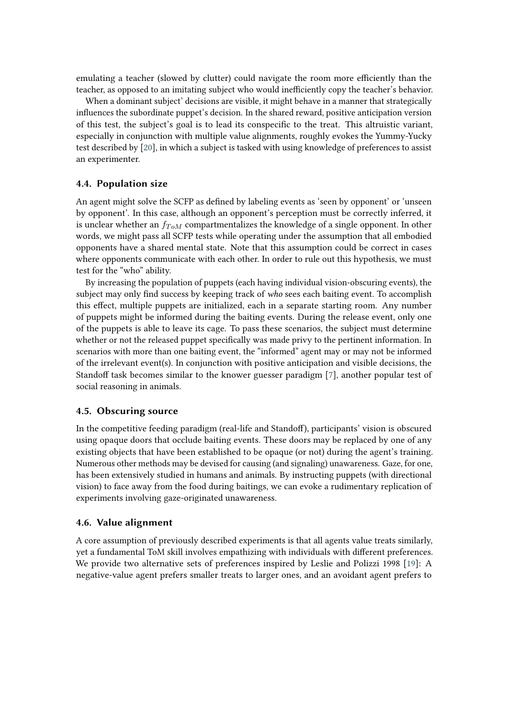emulating a teacher (slowed by clutter) could navigate the room more efficiently than the teacher, as opposed to an imitating subject who would inefficiently copy the teacher's behavior.

When a dominant subject' decisions are visible, it might behave in a manner that strategically influences the subordinate puppet's decision. In the shared reward, positive anticipation version of this test, the subject's goal is to lead its conspecific to the treat. This altruistic variant, especially in conjunction with multiple value alignments, roughly evokes the Yummy-Yucky test described by [\[20\]](#page-11-18), in which a subject is tasked with using knowledge of preferences to assist an experimenter.

#### **4.4. Population size**

An agent might solve the SCFP as defined by labeling events as 'seen by opponent' or 'unseen by opponent'. In this case, although an opponent's perception must be correctly inferred, it is unclear whether an  $f_{ToM}$  compartmentalizes the knowledge of a single opponent. In other words, we might pass all SCFP tests while operating under the assumption that all embodied opponents have a shared mental state. Note that this assumption could be correct in cases where opponents communicate with each other. In order to rule out this hypothesis, we must test for the "who" ability.

By increasing the population of puppets (each having individual vision-obscuring events), the subject may only find success by keeping track of *who* sees each baiting event. To accomplish this effect, multiple puppets are initialized, each in a separate starting room. Any number of puppets might be informed during the baiting events. During the release event, only one of the puppets is able to leave its cage. To pass these scenarios, the subject must determine whether or not the released puppet specifically was made privy to the pertinent information. In scenarios with more than one baiting event, the "informed" agent may or may not be informed of the irrelevant event(s). In conjunction with positive anticipation and visible decisions, the Standoff task becomes similar to the knower guesser paradigm [\[7\]](#page-11-5), another popular test of social reasoning in animals.

#### **4.5. Obscuring source**

In the competitive feeding paradigm (real-life and Standoff), participants' vision is obscured using opaque doors that occlude baiting events. These doors may be replaced by one of any existing objects that have been established to be opaque (or not) during the agent's training. Numerous other methods may be devised for causing (and signaling) unawareness. Gaze, for one, has been extensively studied in humans and animals. By instructing puppets (with directional vision) to face away from the food during baitings, we can evoke a rudimentary replication of experiments involving gaze-originated unawareness.

#### <span id="page-8-0"></span>**4.6. Value alignment**

A core assumption of previously described experiments is that all agents value treats similarly, yet a fundamental ToM skill involves empathizing with individuals with different preferences. We provide two alternative sets of preferences inspired by Leslie and Polizzi 1998 [\[19\]](#page-11-17): A negative-value agent prefers smaller treats to larger ones, and an avoidant agent prefers to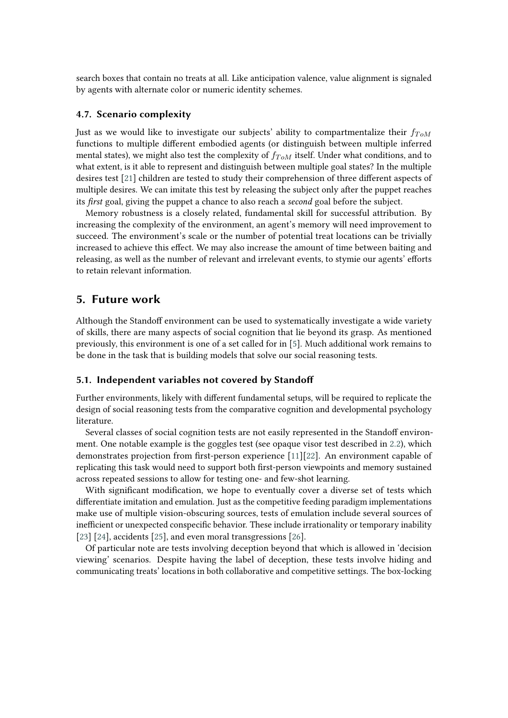search boxes that contain no treats at all. Like anticipation valence, value alignment is signaled by agents with alternate color or numeric identity schemes.

#### **4.7. Scenario complexity**

Just as we would like to investigate our subjects' ability to compartmentalize their  $f_{ToM}$ functions to multiple different embodied agents (or distinguish between multiple inferred mental states), we might also test the complexity of  $f_{ToM}$  itself. Under what conditions, and to what extent, is it able to represent and distinguish between multiple goal states? In the multiple desires test [\[21\]](#page-12-0) children are tested to study their comprehension of three different aspects of multiple desires. We can imitate this test by releasing the subject only after the puppet reaches its *first* goal, giving the puppet a chance to also reach a *second* goal before the subject.

Memory robustness is a closely related, fundamental skill for successful attribution. By increasing the complexity of the environment, an agent's memory will need improvement to succeed. The environment's scale or the number of potential treat locations can be trivially increased to achieve this effect. We may also increase the amount of time between baiting and releasing, as well as the number of relevant and irrelevant events, to stymie our agents' efforts to retain relevant information.

#### **5. Future work**

Although the Standoff environment can be used to systematically investigate a wide variety of skills, there are many aspects of social cognition that lie beyond its grasp. As mentioned previously, this environment is one of a set called for in [\[5\]](#page-11-3). Much additional work remains to be done in the task that is building models that solve our social reasoning tests.

#### **5.1. Independent variables not covered by Standoff**

Further environments, likely with different fundamental setups, will be required to replicate the design of social reasoning tests from the comparative cognition and developmental psychology literature.

Several classes of social cognition tests are not easily represented in the Standoff environment. One notable example is the goggles test (see opaque visor test described in [2.2\)](#page-3-0), which demonstrates projection from first-person experience [\[11\]](#page-11-9)[\[22\]](#page-12-1). An environment capable of replicating this task would need to support both first-person viewpoints and memory sustained across repeated sessions to allow for testing one- and few-shot learning.

With significant modification, we hope to eventually cover a diverse set of tests which differentiate imitation and emulation. Just as the competitive feeding paradigm implementations make use of multiple vision-obscuring sources, tests of emulation include several sources of inefficient or unexpected conspecific behavior. These include irrationality or temporary inability [\[23\]](#page-12-2) [\[24\]](#page-12-3), accidents [\[25\]](#page-12-4), and even moral transgressions [\[26\]](#page-12-5).

Of particular note are tests involving deception beyond that which is allowed in 'decision viewing' scenarios. Despite having the label of deception, these tests involve hiding and communicating treats' locations in both collaborative and competitive settings. The box-locking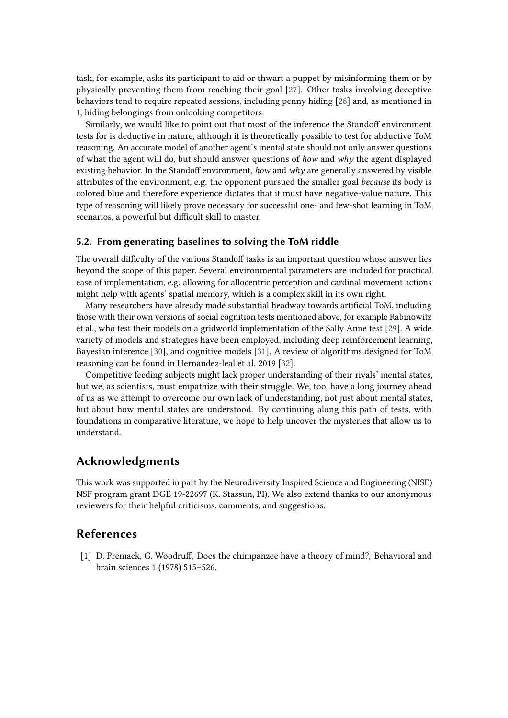task, for example, asks its participant to aid or thwart a puppet by misinforming them or by physically preventing them from reaching their goal [\[27\]](#page-12-6). Other tasks involving deceptive behaviors tend to require repeated sessions, including penny hiding [\[28\]](#page-12-7) and, as mentioned in [1,](#page-0-0) hiding belongings from onlooking competitors.

Similarly, we would like to point out that most of the inference the Standoff environment tests for is deductive in nature, although it is theoretically possible to test for abductive ToM reasoning. An accurate model of another agent's mental state should not only answer questions of what the agent will do, but should answer questions of *how* and *why* the agent displayed existing behavior. In the Standoff environment, *how* and *why* are generally answered by visible attributes of the environment, e.g. the opponent pursued the smaller goal *because* its body is colored blue and therefore experience dictates that it must have negative-value nature. This type of reasoning will likely prove necessary for successful one- and few-shot learning in ToM scenarios, a powerful but difficult skill to master.

## **5.2. From generating baselines to solving the ToM riddle**

The overall difficulty of the various Standoff tasks is an important question whose answer lies beyond the scope of this paper. Several environmental parameters are included for practical ease of implementation, e.g. allowing for allocentric perception and cardinal movement actions might help with agents' spatial memory, which is a complex skill in its own right.

Many researchers have already made substantial headway towards artificial ToM, including those with their own versions of social cognition tests mentioned above, for example Rabinowitz et al., who test their models on a gridworld implementation of the Sally Anne test [\[29\]](#page-12-8). A wide variety of models and strategies have been employed, including deep reinforcement learning, Bayesian inference [\[30\]](#page-12-9), and cognitive models [\[31\]](#page-12-10). A review of algorithms designed for ToM reasoning can be found in Hernandez-leal et al. 2019 [\[32\]](#page-12-11).

Competitive feeding subjects might lack proper understanding of their rivals' mental states, but we, as scientists, must empathize with their struggle. We, too, have a long journey ahead of us as we attempt to overcome our own lack of understanding, not just about mental states, but about how mental states are understood. By continuing along this path of tests, with foundations in comparative literature, we hope to help uncover the mysteries that allow us to understand.

## **Acknowledgments**

This work was supported in part by the Neurodiversity Inspired Science and Engineering (NISE) NSF program grant DGE 19-22697 (K. Stassun, PI). We also extend thanks to our anonymous reviewers for their helpful criticisms, comments, and suggestions.

## **References**

<span id="page-10-0"></span>[1] D. Premack, G. Woodruff, Does the chimpanzee have a theory of mind?, Behavioral and brain sciences 1 (1978) 515–526.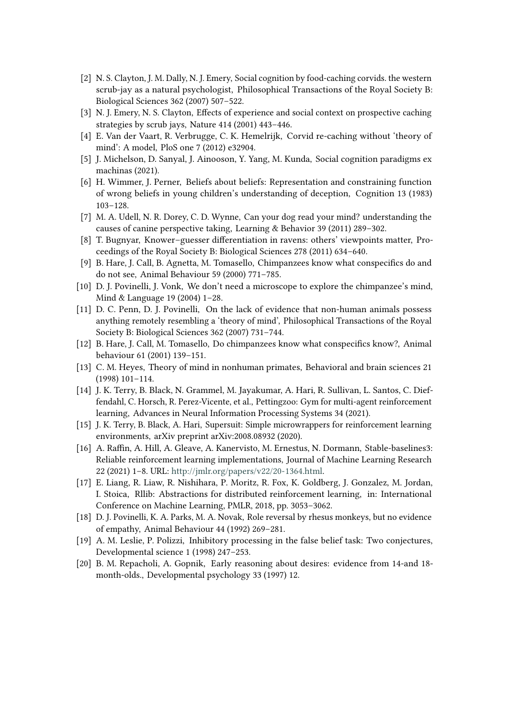- <span id="page-11-0"></span>[2] N. S. Clayton, J. M. Dally, N. J. Emery, Social cognition by food-caching corvids. the western scrub-jay as a natural psychologist, Philosophical Transactions of the Royal Society B: Biological Sciences 362 (2007) 507–522.
- <span id="page-11-1"></span>[3] N. J. Emery, N. S. Clayton, Effects of experience and social context on prospective caching strategies by scrub jays, Nature 414 (2001) 443–446.
- <span id="page-11-2"></span>[4] E. Van der Vaart, R. Verbrugge, C. K. Hemelrijk, Corvid re-caching without 'theory of mind': A model, PloS one 7 (2012) e32904.
- <span id="page-11-3"></span>[5] J. Michelson, D. Sanyal, J. Ainooson, Y. Yang, M. Kunda, Social cognition paradigms ex machinas (2021).
- <span id="page-11-4"></span>[6] H. Wimmer, J. Perner, Beliefs about beliefs: Representation and constraining function of wrong beliefs in young children's understanding of deception, Cognition 13 (1983) 103–128.
- <span id="page-11-5"></span>[7] M. A. Udell, N. R. Dorey, C. D. Wynne, Can your dog read your mind? understanding the causes of canine perspective taking, Learning & Behavior 39 (2011) 289–302.
- <span id="page-11-6"></span>[8] T. Bugnyar, Knower–guesser differentiation in ravens: others' viewpoints matter, Proceedings of the Royal Society B: Biological Sciences 278 (2011) 634–640.
- <span id="page-11-7"></span>[9] B. Hare, J. Call, B. Agnetta, M. Tomasello, Chimpanzees know what conspecifics do and do not see, Animal Behaviour 59 (2000) 771–785.
- <span id="page-11-8"></span>[10] D. J. Povinelli, J. Vonk, We don't need a microscope to explore the chimpanzee's mind, Mind & Language 19 (2004) 1–28.
- <span id="page-11-9"></span>[11] D. C. Penn, D. J. Povinelli, On the lack of evidence that non-human animals possess anything remotely resembling a 'theory of mind', Philosophical Transactions of the Royal Society B: Biological Sciences 362 (2007) 731–744.
- <span id="page-11-10"></span>[12] B. Hare, J. Call, M. Tomasello, Do chimpanzees know what conspecifics know?, Animal behaviour 61 (2001) 139–151.
- <span id="page-11-11"></span>[13] C. M. Heyes, Theory of mind in nonhuman primates, Behavioral and brain sciences 21 (1998) 101–114.
- <span id="page-11-12"></span>[14] J. K. Terry, B. Black, N. Grammel, M. Jayakumar, A. Hari, R. Sullivan, L. Santos, C. Dieffendahl, C. Horsch, R. Perez-Vicente, et al., Pettingzoo: Gym for multi-agent reinforcement learning, Advances in Neural Information Processing Systems 34 (2021).
- <span id="page-11-13"></span>[15] J. K. Terry, B. Black, A. Hari, Supersuit: Simple microwrappers for reinforcement learning environments, arXiv preprint arXiv:2008.08932 (2020).
- <span id="page-11-14"></span>[16] A. Raffin, A. Hill, A. Gleave, A. Kanervisto, M. Ernestus, N. Dormann, Stable-baselines3: Reliable reinforcement learning implementations, Journal of Machine Learning Research 22 (2021) 1–8. URL: [http://jmlr.org/papers/v22/20-1364.html.](http://jmlr.org/papers/v22/20-1364.html)
- <span id="page-11-15"></span>[17] E. Liang, R. Liaw, R. Nishihara, P. Moritz, R. Fox, K. Goldberg, J. Gonzalez, M. Jordan, I. Stoica, Rllib: Abstractions for distributed reinforcement learning, in: International Conference on Machine Learning, PMLR, 2018, pp. 3053–3062.
- <span id="page-11-16"></span>[18] D. J. Povinelli, K. A. Parks, M. A. Novak, Role reversal by rhesus monkeys, but no evidence of empathy, Animal Behaviour 44 (1992) 269–281.
- <span id="page-11-17"></span>[19] A. M. Leslie, P. Polizzi, Inhibitory processing in the false belief task: Two conjectures, Developmental science 1 (1998) 247–253.
- <span id="page-11-18"></span>[20] B. M. Repacholi, A. Gopnik, Early reasoning about desires: evidence from 14-and 18 month-olds., Developmental psychology 33 (1997) 12.